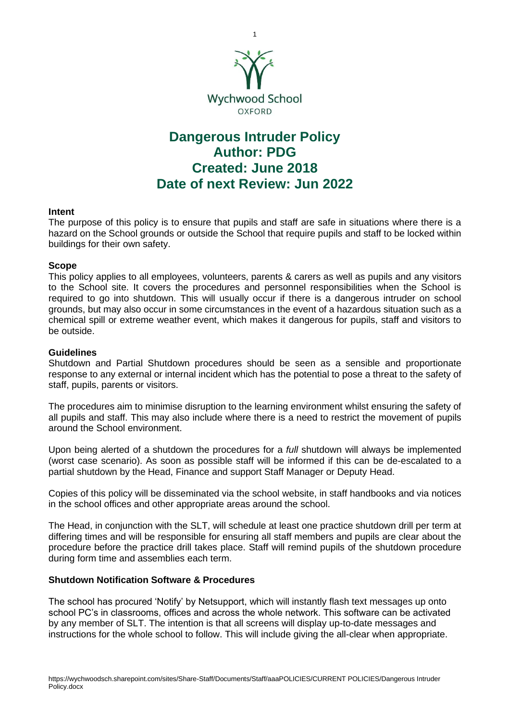

# **Dangerous Intruder Policy Author: PDG Created: June 2018 Date of next Review: Jun 2022**

## **Intent**

The purpose of this policy is to ensure that pupils and staff are safe in situations where there is a hazard on the School grounds or outside the School that require pupils and staff to be locked within buildings for their own safety.

## **Scope**

This policy applies to all employees, volunteers, parents & carers as well as pupils and any visitors to the School site. It covers the procedures and personnel responsibilities when the School is required to go into shutdown. This will usually occur if there is a dangerous intruder on school grounds, but may also occur in some circumstances in the event of a hazardous situation such as a chemical spill or extreme weather event, which makes it dangerous for pupils, staff and visitors to be outside.

## **Guidelines**

Shutdown and Partial Shutdown procedures should be seen as a sensible and proportionate response to any external or internal incident which has the potential to pose a threat to the safety of staff, pupils, parents or visitors.

The procedures aim to minimise disruption to the learning environment whilst ensuring the safety of all pupils and staff. This may also include where there is a need to restrict the movement of pupils around the School environment.

Upon being alerted of a shutdown the procedures for a *full* shutdown will always be implemented (worst case scenario). As soon as possible staff will be informed if this can be de-escalated to a partial shutdown by the Head, Finance and support Staff Manager or Deputy Head.

Copies of this policy will be disseminated via the school website, in staff handbooks and via notices in the school offices and other appropriate areas around the school.

The Head, in conjunction with the SLT, will schedule at least one practice shutdown drill per term at differing times and will be responsible for ensuring all staff members and pupils are clear about the procedure before the practice drill takes place. Staff will remind pupils of the shutdown procedure during form time and assemblies each term.

#### **Shutdown Notification Software & Procedures**

The school has procured 'Notify' by Netsupport, which will instantly flash text messages up onto school PC's in classrooms, offices and across the whole network. This software can be activated by any member of SLT. The intention is that all screens will display up-to-date messages and instructions for the whole school to follow. This will include giving the all-clear when appropriate.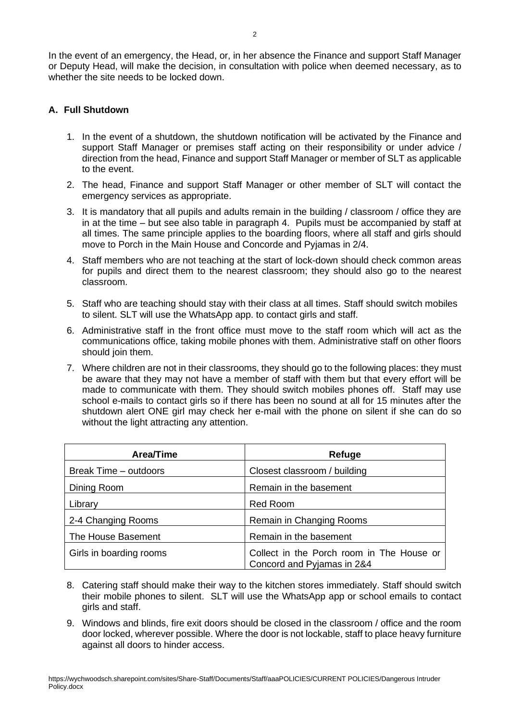In the event of an emergency, the Head, or, in her absence the Finance and support Staff Manager or Deputy Head, will make the decision, in consultation with police when deemed necessary, as to whether the site needs to be locked down.

# **A. Full Shutdown**

- 1. In the event of a shutdown, the shutdown notification will be activated by the Finance and support Staff Manager or premises staff acting on their responsibility or under advice / direction from the head, Finance and support Staff Manager or member of SLT as applicable to the event.
- 2. The head, Finance and support Staff Manager or other member of SLT will contact the emergency services as appropriate.
- 3. It is mandatory that all pupils and adults remain in the building / classroom / office they are in at the time – but see also table in paragraph 4. Pupils must be accompanied by staff at all times. The same principle applies to the boarding floors, where all staff and girls should move to Porch in the Main House and Concorde and Pyjamas in 2/4.
- 4. Staff members who are not teaching at the start of lock-down should check common areas for pupils and direct them to the nearest classroom; they should also go to the nearest classroom.
- 5. Staff who are teaching should stay with their class at all times. Staff should switch mobiles to silent. SLT will use the WhatsApp app. to contact girls and staff.
- 6. Administrative staff in the front office must move to the staff room which will act as the communications office, taking mobile phones with them. Administrative staff on other floors should join them.
- 7. Where children are not in their classrooms, they should go to the following places: they must be aware that they may not have a member of staff with them but that every effort will be made to communicate with them. They should switch mobiles phones off. Staff may use school e-mails to contact girls so if there has been no sound at all for 15 minutes after the shutdown alert ONE girl may check her e-mail with the phone on silent if she can do so without the light attracting any attention.

| <b>Area/Time</b>        | Refuge                                                                  |
|-------------------------|-------------------------------------------------------------------------|
| Break Time - outdoors   | Closest classroom / building                                            |
| Dining Room             | Remain in the basement                                                  |
| Library                 | <b>Red Room</b>                                                         |
| 2-4 Changing Rooms      | Remain in Changing Rooms                                                |
| The House Basement      | Remain in the basement                                                  |
| Girls in boarding rooms | Collect in the Porch room in The House or<br>Concord and Pyjamas in 2&4 |

- 8. Catering staff should make their way to the kitchen stores immediately. Staff should switch their mobile phones to silent. SLT will use the WhatsApp app or school emails to contact girls and staff.
- 9. Windows and blinds, fire exit doors should be closed in the classroom / office and the room door locked, wherever possible. Where the door is not lockable, staff to place heavy furniture against all doors to hinder access.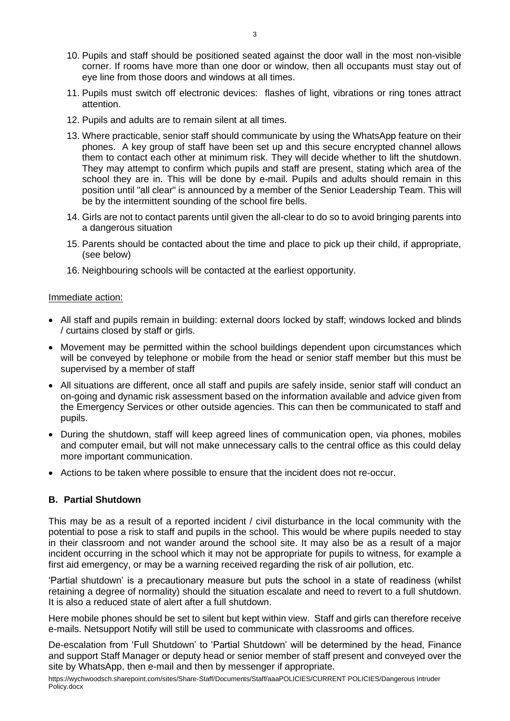- 10. Pupils and staff should be positioned seated against the door wall in the most non-visible corner. If rooms have more than one door or window, then all occupants must stay out of eye line from those doors and windows at all times.
- 11. Pupils must switch off electronic devices: flashes of light, vibrations or ring tones attract attention.
- 12. Pupils and adults are to remain silent at all times.
- 13. Where practicable, senior staff should communicate by using the WhatsApp feature on their phones. A key group of staff have been set up and this secure encrypted channel allows them to contact each other at minimum risk. They will decide whether to lift the shutdown. They may attempt to confirm which pupils and staff are present, stating which area of the school they are in. This will be done by e-mail. Pupils and adults should remain in this position until "all clear" is announced by a member of the Senior Leadership Team. This will be by the intermittent sounding of the school fire bells.
- 14. Girls are not to contact parents until given the all-clear to do so to avoid bringing parents into a dangerous situation
- 15. Parents should be contacted about the time and place to pick up their child, if appropriate, (see below)
- 16. Neighbouring schools will be contacted at the earliest opportunity.

#### Immediate action:

- All staff and pupils remain in building: external doors locked by staff; windows locked and blinds / curtains closed by staff or girls.
- Movement may be permitted within the school buildings dependent upon circumstances which will be conveyed by telephone or mobile from the head or senior staff member but this must be supervised by a member of staff
- All situations are different, once all staff and pupils are safely inside, senior staff will conduct an on-going and dynamic risk assessment based on the information available and advice given from the Emergency Services or other outside agencies. This can then be communicated to staff and pupils.
- During the shutdown, staff will keep agreed lines of communication open, via phones, mobiles and computer email, but will not make unnecessary calls to the central office as this could delay more important communication.
- Actions to be taken where possible to ensure that the incident does not re-occur.

#### **B. Partial Shutdown**

This may be as a result of a reported incident / civil disturbance in the local community with the potential to pose a risk to staff and pupils in the school. This would be where pupils needed to stay in their classroom and not wander around the school site. It may also be as a result of a major incident occurring in the school which it may not be appropriate for pupils to witness, for example a first aid emergency, or may be a warning received regarding the risk of air pollution, etc.

'Partial shutdown' is a precautionary measure but puts the school in a state of readiness (whilst retaining a degree of normality) should the situation escalate and need to revert to a full shutdown. It is also a reduced state of alert after a full shutdown.

Here mobile phones should be set to silent but kept within view. Staff and girls can therefore receive e-mails. Netsupport Notify will still be used to communicate with classrooms and offices.

De-escalation from 'Full Shutdown' to 'Partial Shutdown' will be determined by the head, Finance and support Staff Manager or deputy head or senior member of staff present and conveyed over the site by WhatsApp, then e-mail and then by messenger if appropriate.

https://wychwoodsch.sharepoint.com/sites/Share-Staff/Documents/Staff/aaaPOLICIES/CURRENT POLICIES/Dangerous Intruder Policy.docx